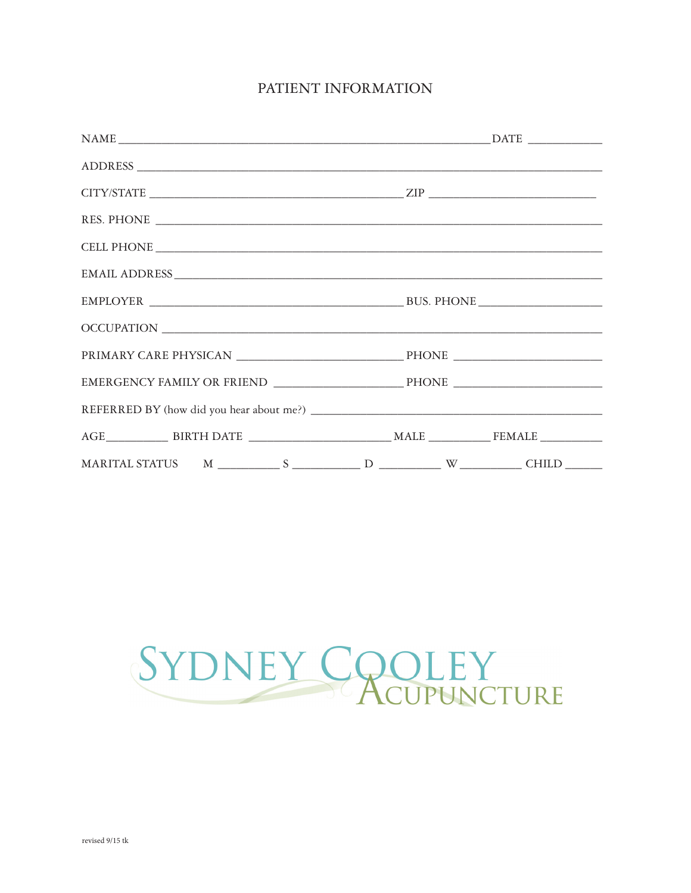# PATIENT INFORMATION

| $\begin{tabular}{l} \bf{NAME} \end{tabular}$ $\begin{tabular}{l} \bf{NAME} \end{tabular}$ |  |
|-------------------------------------------------------------------------------------------|--|
|                                                                                           |  |
| $CITY/STATE$                                                                              |  |
| RES. PHONE                                                                                |  |
|                                                                                           |  |
|                                                                                           |  |
|                                                                                           |  |
|                                                                                           |  |
|                                                                                           |  |
|                                                                                           |  |
|                                                                                           |  |
|                                                                                           |  |
|                                                                                           |  |
|                                                                                           |  |

# SYDNEY COOLEY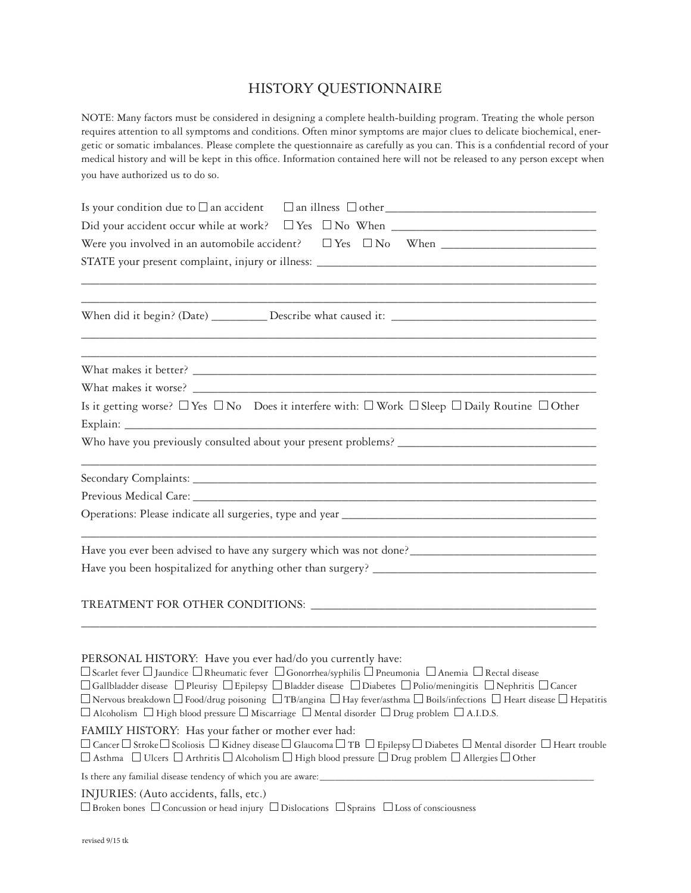# HISTORY QUESTIONNAIRE

NOTE: Many factors must be considered in designing a complete health-building program. Treating the whole person requires attention to all symptoms and conditions. Often minor symptoms are major clues to delicate biochemical, energetic or somatic imbalances. Please complete the questionnaire as carefully as you can. This is a confidential record of your medical history and will be kept in this office. Information contained here will not be released to any person except when you have authorized us to do so.

| <u> 1989 - Johann Harry Harry Harry Harry Harry Harry Harry Harry Harry Harry Harry Harry Harry Harry Harry Harry</u>                                                                                                                                                                                                                                                                                                                                                                                                                                                                                                                                                   |
|-------------------------------------------------------------------------------------------------------------------------------------------------------------------------------------------------------------------------------------------------------------------------------------------------------------------------------------------------------------------------------------------------------------------------------------------------------------------------------------------------------------------------------------------------------------------------------------------------------------------------------------------------------------------------|
| <u> 1989 - Johann Stoff, amerikansk politiker (d. 1989)</u>                                                                                                                                                                                                                                                                                                                                                                                                                                                                                                                                                                                                             |
|                                                                                                                                                                                                                                                                                                                                                                                                                                                                                                                                                                                                                                                                         |
|                                                                                                                                                                                                                                                                                                                                                                                                                                                                                                                                                                                                                                                                         |
| Is it getting worse? $\Box$ Yes $\Box$ No Does it interfere with: $\Box$ Work $\Box$ Sleep $\Box$ Daily Routine $\Box$ Other                                                                                                                                                                                                                                                                                                                                                                                                                                                                                                                                            |
|                                                                                                                                                                                                                                                                                                                                                                                                                                                                                                                                                                                                                                                                         |
|                                                                                                                                                                                                                                                                                                                                                                                                                                                                                                                                                                                                                                                                         |
|                                                                                                                                                                                                                                                                                                                                                                                                                                                                                                                                                                                                                                                                         |
|                                                                                                                                                                                                                                                                                                                                                                                                                                                                                                                                                                                                                                                                         |
| Have you ever been advised to have any surgery which was not done?__________________________________                                                                                                                                                                                                                                                                                                                                                                                                                                                                                                                                                                    |
|                                                                                                                                                                                                                                                                                                                                                                                                                                                                                                                                                                                                                                                                         |
|                                                                                                                                                                                                                                                                                                                                                                                                                                                                                                                                                                                                                                                                         |
|                                                                                                                                                                                                                                                                                                                                                                                                                                                                                                                                                                                                                                                                         |
| PERSONAL HISTORY: Have you ever had/do you currently have:<br>$\Box$ Scarlet fever $\Box$ Jaundice $\Box$ Rheumatic fever $\Box$ Gonorrhea/syphilis $\Box$ Pneumonia $\Box$ Anemia $\Box$ Rectal disease<br>$\Box$ Gallbladder disease $~\Box$ Pleurisy $~\Box$ Epilepsy $~\Box$ Bladder disease $~\Box$ Diabetes $~\Box$ Polio/meningitis $~\Box$ Nephritis $~\Box$ Cancer<br>$\Box$ Nervous breakdown $\Box$ Food/drug poisoning $\Box$ TB/angina $\Box$ Hay fever/asthma $\Box$ Boils/infections $\Box$ Heart disease $\Box$ Hepatitis<br>$\Box$ Alcoholism $\Box$ High blood pressure $\Box$ Miscarriage $\Box$ Mental disorder $\Box$ Drug problem $\Box$ A.I.D.S. |
| FAMILY HISTORY: Has your father or mother ever had:<br>$\Box$ Cancer $\Box$ Stroke $\Box$ Scoliosis $\Box$ Kidney disease $\Box$ Glaucoma $\Box$ TB $\Box$ Epilepsy $\Box$ Diabetes $\Box$ Mental disorder $\Box$ Heart trouble<br>$\Box$ Asthma $\;\;\Box$ Ulcers $\;\Box$ Arthritis $\Box$ Alcoholism $\Box$ High blood pressure $\;\Box$ Drug problem $\Box$ Allergies $\Box$ Other                                                                                                                                                                                                                                                                                  |
| Is there any familial disease tendency of which you are aware:                                                                                                                                                                                                                                                                                                                                                                                                                                                                                                                                                                                                          |
| INJURIES: (Auto accidents, falls, etc.)<br>$\Box$ Broken bones $\Box$ Concussion or head injury $\Box$ Dislocations $\Box$ Sprains $\Box$ Loss of consciousness                                                                                                                                                                                                                                                                                                                                                                                                                                                                                                         |
|                                                                                                                                                                                                                                                                                                                                                                                                                                                                                                                                                                                                                                                                         |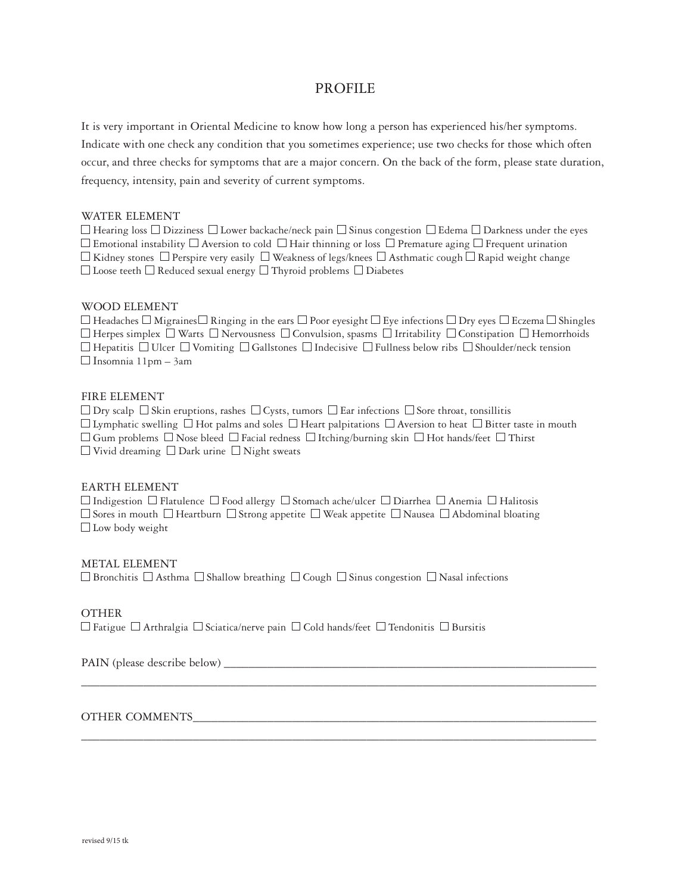## PROFILE

It is very important in Oriental Medicine to know how long a person has experienced his/her symptoms. Indicate with one check any condition that you sometimes experience; use two checks for those which often occur, and three checks for symptoms that are a major concern. On the back of the form, please state duration, frequency, intensity, pain and severity of current symptoms.

#### WATER ELEMENT

 $\Box$  Hearing loss  $\Box$  Dizziness  $\Box$  Lower backache/neck pain  $\Box$  Sinus congestion  $\Box$  Edema  $\Box$  Darkness under the eyes  $\Box$  Emotional instability  $\Box$  Aversion to cold  $\Box$  Hair thinning or loss  $\Box$  Premature aging  $\Box$  Frequent urination  $\Box$  Kidney stones  $\Box$  Perspire very easily  $\Box$  Weakness of legs/knees  $\Box$  Asthmatic cough  $\Box$  Rapid weight change  $\Box$  Loose teeth  $\Box$  Reduced sexual energy  $\Box$  Thyroid problems  $\Box$  Diabetes

#### WOOD ELEMENT

 $\Box$  Headaches  $\Box$  Migraines  $\Box$  Ringing in the ears  $\Box$  Poor eyesight  $\Box$  Eye infections  $\Box$  Dry eyes  $\Box$  Eczema  $\Box$  Shingles  $\Box$  Herpes simplex  $\Box$  Warts  $\Box$  Nervousness  $\Box$  Convulsion, spasms  $\Box$  Irritability  $\Box$  Constipation  $\Box$  Hemorrhoids  $\Box$  Hepatitis  $\Box$  Ulcer  $\Box$  Vomiting  $\Box$  Gallstones  $\Box$  Indecisive  $\Box$  Fullness below ribs  $\Box$  Shoulder/neck tension  $\Box$  Insomnia 11pm – 3am

#### FIRE ELEMENT

 $\Box$  Dry scalp  $\Box$  Skin eruptions, rashes  $\Box$  Cysts, tumors  $\Box$  Ear infections  $\Box$  Sore throat, tonsillitis  $\Box$  Lymphatic swelling  $\Box$  Hot palms and soles  $\Box$  Heart palpitations  $\Box$  Aversion to heat  $\Box$  Bitter taste in mouth  $\Box$  Gum problems  $\Box$  Nose bleed  $\Box$  Facial redness  $\Box$  Itching/burning skin  $\Box$  Hot hands/feet  $\Box$  Thirst  $\Box$  Vivid dreaming  $\Box$  Dark urine  $\Box$  Night sweats

\_\_\_\_\_\_\_\_\_\_\_\_\_\_\_\_\_\_\_\_\_\_\_\_\_\_\_\_\_\_\_\_\_\_\_\_\_\_\_\_\_\_\_\_\_\_\_\_\_\_\_\_\_\_\_\_\_\_\_\_\_\_\_\_\_\_\_\_\_\_\_\_\_\_\_\_\_\_\_\_\_\_\_

\_\_\_\_\_\_\_\_\_\_\_\_\_\_\_\_\_\_\_\_\_\_\_\_\_\_\_\_\_\_\_\_\_\_\_\_\_\_\_\_\_\_\_\_\_\_\_\_\_\_\_\_\_\_\_\_\_\_\_\_\_\_\_\_\_\_\_\_\_\_\_\_\_\_\_\_\_\_\_\_\_\_\_

#### EARTH ELEMENT

 $\Box$  Indigestion  $\Box$  Flatulence  $\Box$  Food allergy  $\Box$  Stomach ache/ulcer  $\Box$  Diarrhea  $\Box$  Anemia  $\Box$  Halitosis  $\Box$  Sores in mouth  $\Box$  Heartburn  $\Box$  Strong appetite  $\Box$  Weak appetite  $\Box$  Nausea  $\Box$  Abdominal bloating  $\Box$  Low body weight

#### METAL ELEMENT

 $\Box$  Bronchitis  $\Box$  Asthma  $\Box$  Shallow breathing  $\Box$  Cough  $\Box$  Sinus congestion  $\Box$  Nasal infections

#### OTHER

 $\Box$  Fatigue  $\Box$  Arthralgia  $\Box$  Sciatica/nerve pain  $\Box$  Cold hands/feet  $\Box$  Tendonitis  $\Box$  Bursitis

PAIN (please describe below) \_\_\_\_\_\_\_\_\_\_\_\_\_\_\_\_\_\_\_\_\_\_\_\_\_\_\_\_\_\_\_\_\_\_\_\_\_\_\_\_\_\_\_\_\_\_\_\_\_\_\_\_\_\_\_\_\_\_\_\_

#### OTHER COMMENTS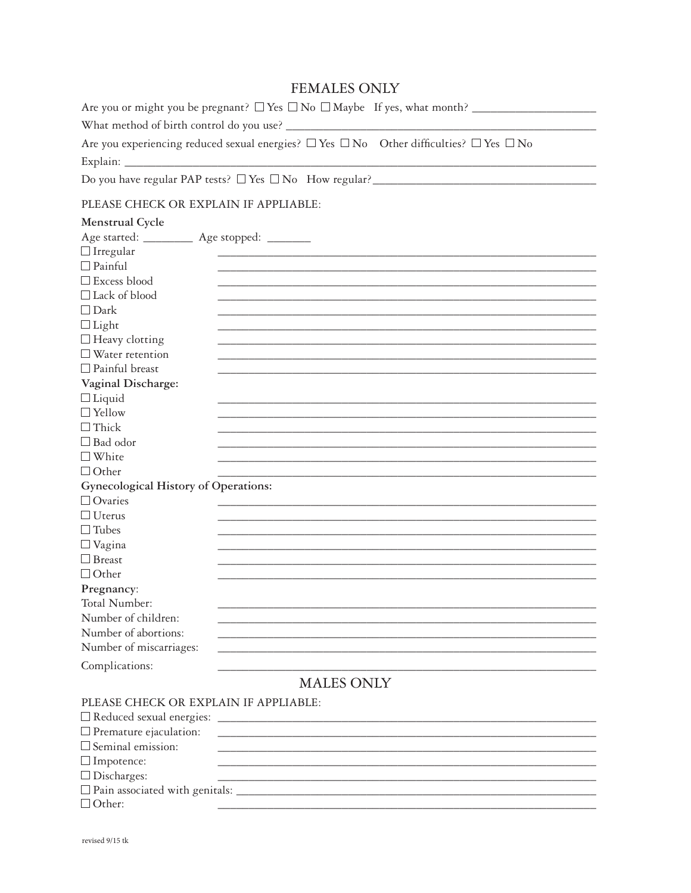# **FEMALES ONLY**

| Are you or might you be pregnant? $\Box$ Yes $\Box$ No $\Box$ Maybe If yes, what month?                     |
|-------------------------------------------------------------------------------------------------------------|
| What method of birth control do you use?                                                                    |
| Are you experiencing reduced sexual energies? $\Box$ Yes $\Box$ No Other difficulties? $\Box$ Yes $\Box$ No |
| Explain:                                                                                                    |

## PLEASE CHECK OR EXPLAIN IF APPLIABLE:

| Menstrual Cycle                      |                                                                                                                       |
|--------------------------------------|-----------------------------------------------------------------------------------------------------------------------|
| Age started: _____                   | Age stopped: _______                                                                                                  |
| $\Box$ Irregular                     |                                                                                                                       |
| $\Box$ Painful                       |                                                                                                                       |
| $\square$ Excess blood               |                                                                                                                       |
| $\Box$ Lack of blood                 |                                                                                                                       |
| $\Box$ Dark                          |                                                                                                                       |
| $\Box$ Light                         |                                                                                                                       |
| $\Box$ Heavy clotting                |                                                                                                                       |
| $\square$ Water retention            |                                                                                                                       |
| $\Box$ Painful breast                |                                                                                                                       |
| Vaginal Discharge:                   |                                                                                                                       |
| $\Box$ Liquid                        |                                                                                                                       |
| $\Box$ Yellow                        |                                                                                                                       |
| $\Box$ Thick                         |                                                                                                                       |
| $\Box$ Bad odor                      |                                                                                                                       |
| $\square$ White                      |                                                                                                                       |
| $\Box$ Other                         |                                                                                                                       |
| Gynecological History of Operations: |                                                                                                                       |
| $\Box$ Ovaries                       |                                                                                                                       |
| $\Box$ Uterus                        |                                                                                                                       |
| $\Box$ Tubes                         |                                                                                                                       |
| $\Box$ Vagina                        |                                                                                                                       |
| $\Box$ Breast                        |                                                                                                                       |
| $\Box$ Other                         |                                                                                                                       |
| Pregnancy:                           |                                                                                                                       |
| Total Number:                        |                                                                                                                       |
| Number of children:                  |                                                                                                                       |
| Number of abortions:                 |                                                                                                                       |
| Number of miscarriages:              |                                                                                                                       |
| Complications:                       |                                                                                                                       |
|                                      | <b>MALES ONLY</b>                                                                                                     |
|                                      |                                                                                                                       |
|                                      | PLEASE CHECK OR EXPLAIN IF APPLIABLE:                                                                                 |
| $\Box$ Reduced sexual energies:      | <u> 1989 - Johann Harry Harry Harry Harry Harry Harry Harry Harry Harry Harry Harry Harry Harry Harry Harry Harry</u> |
| $\Box$ Premature ejaculation:        |                                                                                                                       |
| $\Box$ Seminal emission:             |                                                                                                                       |
| $\Box$ Impotence:                    |                                                                                                                       |
| $\Box$ Discharges:                   |                                                                                                                       |

 $\Box$  Other: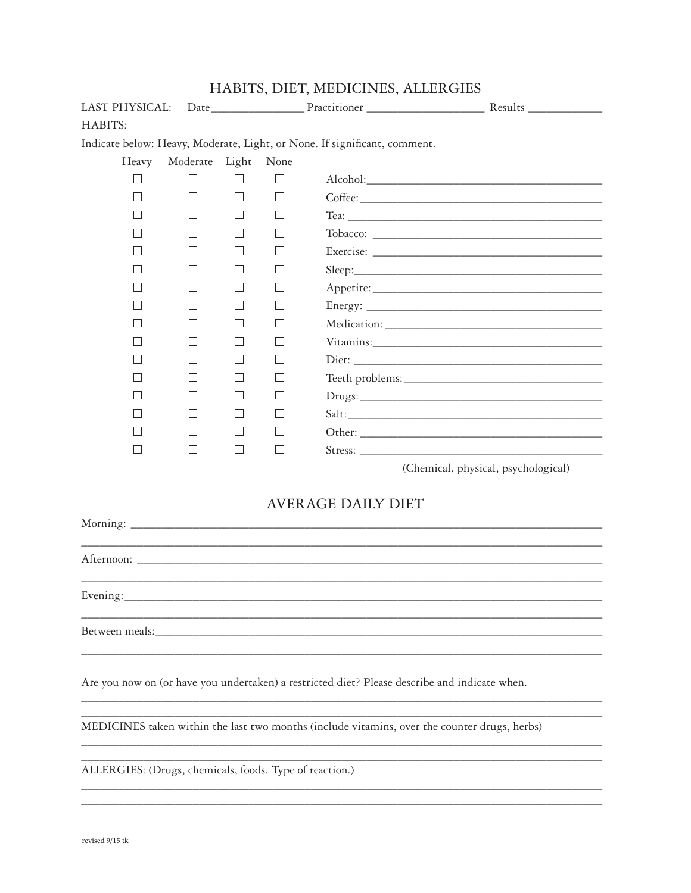| LAST PHYSICAL:    |              |       |                   |                                                                           |                                                                                               |
|-------------------|--------------|-------|-------------------|---------------------------------------------------------------------------|-----------------------------------------------------------------------------------------------|
| HABITS:           |              |       |                   |                                                                           |                                                                                               |
|                   |              |       |                   | Indicate below: Heavy, Moderate, Light, or None. If significant, comment. |                                                                                               |
| Heavy             | Moderate     | Light | None              |                                                                           |                                                                                               |
|                   |              |       |                   |                                                                           |                                                                                               |
| $\vert \ \ \vert$ | $\mathsf{L}$ |       | $\Box$            |                                                                           |                                                                                               |
|                   |              |       | $\vert \ \ \vert$ |                                                                           |                                                                                               |
|                   |              |       |                   |                                                                           |                                                                                               |
|                   |              |       | $\mathbf{L}$      |                                                                           |                                                                                               |
|                   |              |       |                   |                                                                           |                                                                                               |
|                   |              |       |                   |                                                                           |                                                                                               |
|                   |              |       | $\mathbf{L}$      |                                                                           |                                                                                               |
|                   |              |       |                   |                                                                           |                                                                                               |
|                   |              |       |                   |                                                                           |                                                                                               |
|                   |              |       | $\mathbf{L}$      |                                                                           |                                                                                               |
|                   |              |       |                   |                                                                           |                                                                                               |
|                   |              |       |                   |                                                                           |                                                                                               |
|                   |              |       | $\mathbf{L}$      |                                                                           | Salt:                                                                                         |
|                   |              |       |                   |                                                                           |                                                                                               |
|                   | $\perp$      |       | $\mathsf{L}$      |                                                                           | Stress:                                                                                       |
|                   |              |       |                   |                                                                           | (Chemical, physical, psychological)                                                           |
|                   |              |       |                   | <b>AVERAGE DAILY DIET</b>                                                 |                                                                                               |
|                   |              |       |                   |                                                                           |                                                                                               |
|                   |              |       |                   |                                                                           | ,我们也不能在这里的人,我们也不能在这里的人,我们也不能在这里的人,我们也不能在这里的人,我们也不能在这里的人,我们也不能在这里的人,我们也不能在这里的人,我们也             |
|                   |              |       |                   |                                                                           |                                                                                               |
|                   |              |       |                   |                                                                           |                                                                                               |
|                   |              |       |                   |                                                                           |                                                                                               |
|                   |              |       |                   |                                                                           |                                                                                               |
|                   |              |       |                   |                                                                           | Are you now on (or have you undertaken) a restricted diet? Please describe and indicate when. |
|                   |              |       |                   |                                                                           | MEDICINES taken within the last two months (include vitamins, over the counter drugs, herbs)  |
|                   |              |       |                   |                                                                           |                                                                                               |
|                   |              |       |                   |                                                                           |                                                                                               |

HABITS, DIET, MEDICINES, ALLERGIES

ALLERGIES: (Drugs, chemicals, foods. Type of reaction.)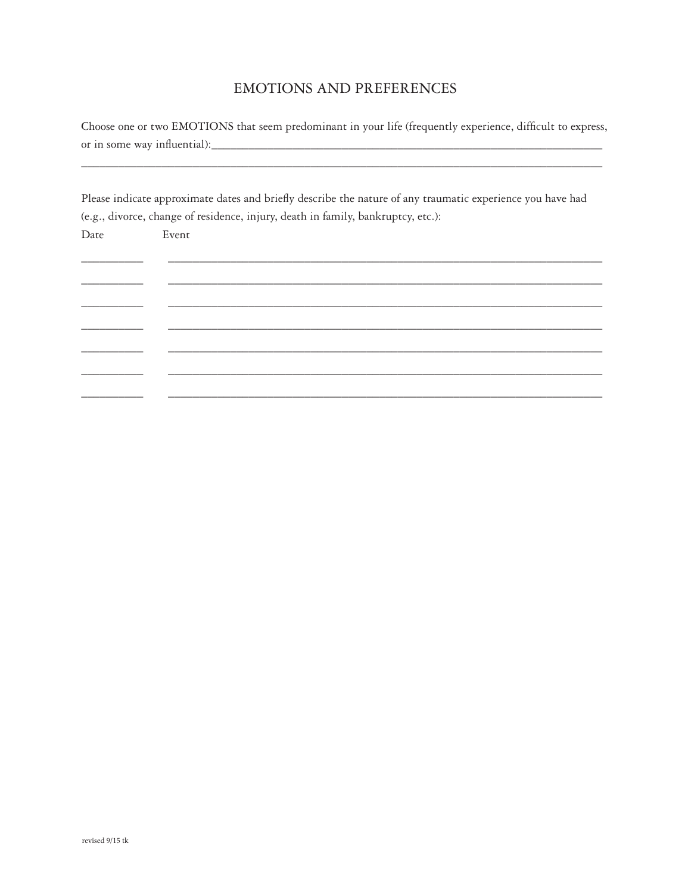# **EMOTIONS AND PREFERENCES**

Choose one or two EMOTIONS that seem predominant in your life (frequently experience, difficult to express, 

Please indicate approximate dates and briefly describe the nature of any traumatic experience you have had (e.g., divorce, change of residence, injury, death in family, bankruptcy, etc.):

| Date | Event |  |
|------|-------|--|
|      |       |  |
|      |       |  |
|      |       |  |
|      |       |  |
|      |       |  |
|      |       |  |
|      |       |  |
|      |       |  |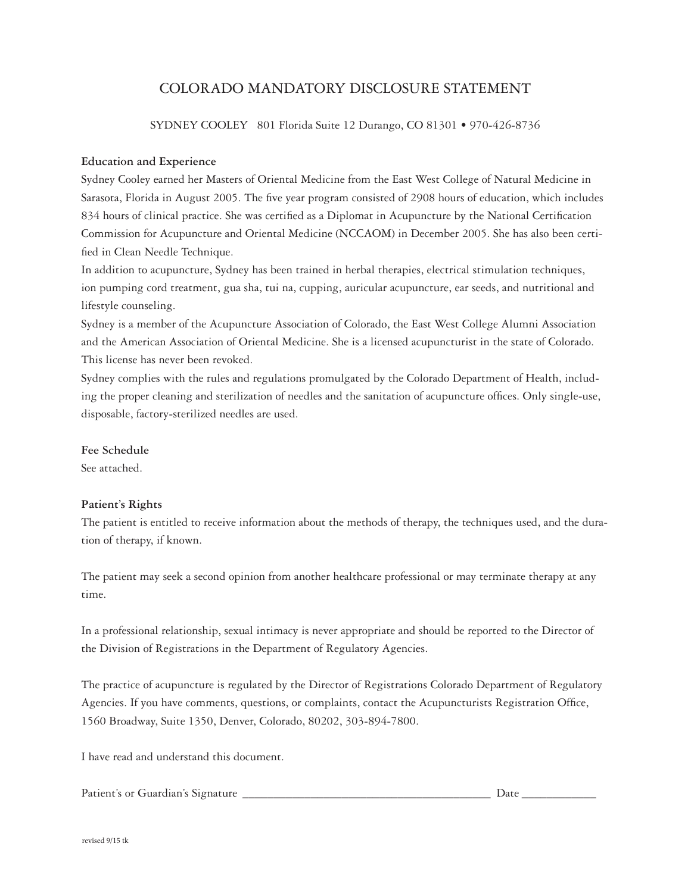# COLORADO MANDATORY DISCLOSURE STATEMENT

SYDNEY COOLEY 801 Florida Suite 12 Durango, CO 81301 • 970-426-8736

#### **Education and Experience**

Sydney Cooley earned her Masters of Oriental Medicine from the East West College of Natural Medicine in Sarasota, Florida in August 2005. The five year program consisted of 2908 hours of education, which includes 834 hours of clinical practice. She was certified as a Diplomat in Acupuncture by the National Certification Commission for Acupuncture and Oriental Medicine (NCCAOM) in December 2005. She has also been certified in Clean Needle Technique.

In addition to acupuncture, Sydney has been trained in herbal therapies, electrical stimulation techniques, ion pumping cord treatment, gua sha, tui na, cupping, auricular acupuncture, ear seeds, and nutritional and lifestyle counseling.

Sydney is a member of the Acupuncture Association of Colorado, the East West College Alumni Association and the American Association of Oriental Medicine. She is a licensed acupuncturist in the state of Colorado. This license has never been revoked.

Sydney complies with the rules and regulations promulgated by the Colorado Department of Health, including the proper cleaning and sterilization of needles and the sanitation of acupuncture offices. Only single-use, disposable, factory-sterilized needles are used.

### **Fee Schedule**

See attached.

### **Patient's Rights**

The patient is entitled to receive information about the methods of therapy, the techniques used, and the duration of therapy, if known.

The patient may seek a second opinion from another healthcare professional or may terminate therapy at any time.

In a professional relationship, sexual intimacy is never appropriate and should be reported to the Director of the Division of Registrations in the Department of Regulatory Agencies.

The practice of acupuncture is regulated by the Director of Registrations Colorado Department of Regulatory Agencies. If you have comments, questions, or complaints, contact the Acupuncturists Registration Office, 1560 Broadway, Suite 1350, Denver, Colorado, 80202, 303-894-7800.

I have read and understand this document.

Patient's or Guardian's Signature \_\_\_\_\_\_\_\_\_\_\_\_\_\_\_\_\_\_\_\_\_\_\_\_\_\_\_\_\_\_\_\_\_\_\_\_\_\_\_\_ Date \_\_\_\_\_\_\_\_\_\_\_\_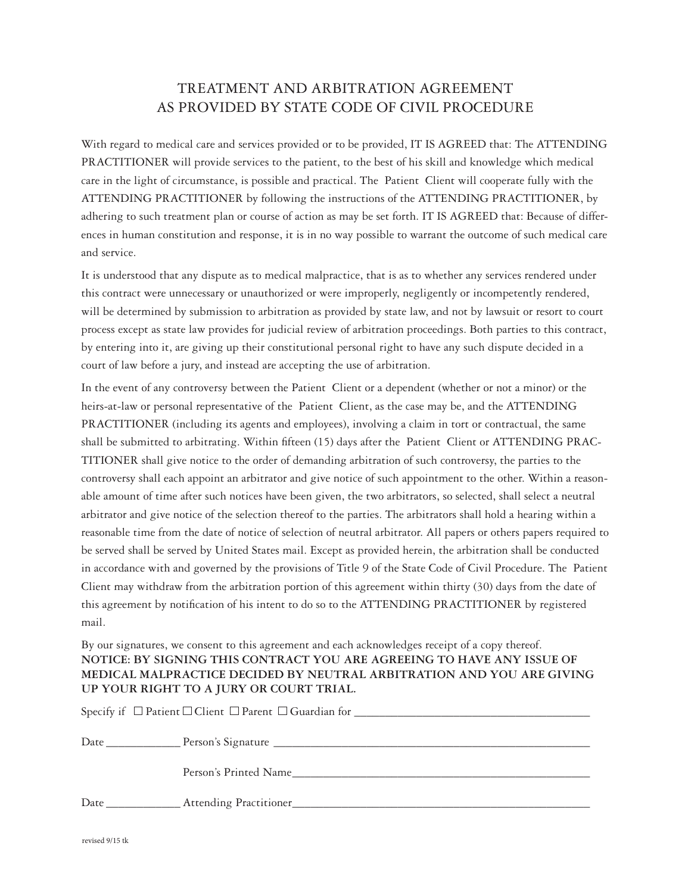# TREATMENT AND ARBITRATION AGREEMENT AS PROVIDED BY STATE CODE OF CIVIL PROCEDURE

With regard to medical care and services provided or to be provided, IT IS AGREED that: The ATTENDING PRACTITIONER will provide services to the patient, to the best of his skill and knowledge which medical care in the light of circumstance, is possible and practical. The Patient Client will cooperate fully with the ATTENDING PRACTITIONER by following the instructions of the ATTENDING PRACTITIONER, by adhering to such treatment plan or course of action as may be set forth. IT IS AGREED that: Because of differences in human constitution and response, it is in no way possible to warrant the outcome of such medical care and service.

It is understood that any dispute as to medical malpractice, that is as to whether any services rendered under this contract were unnecessary or unauthorized or were improperly, negligently or incompetently rendered, will be determined by submission to arbitration as provided by state law, and not by lawsuit or resort to court process except as state law provides for judicial review of arbitration proceedings. Both parties to this contract, by entering into it, are giving up their constitutional personal right to have any such dispute decided in a court of law before a jury, and instead are accepting the use of arbitration.

In the event of any controversy between the Patient Client or a dependent (whether or not a minor) or the heirs-at-law or personal representative of the Patient Client, as the case may be, and the ATTENDING PRACTITIONER (including its agents and employees), involving a claim in tort or contractual, the same shall be submitted to arbitrating. Within fifteen (15) days after the Patient Client or ATTENDING PRAC-TITIONER shall give notice to the order of demanding arbitration of such controversy, the parties to the controversy shall each appoint an arbitrator and give notice of such appointment to the other. Within a reasonable amount of time after such notices have been given, the two arbitrators, so selected, shall select a neutral arbitrator and give notice of the selection thereof to the parties. The arbitrators shall hold a hearing within a reasonable time from the date of notice of selection of neutral arbitrator. All papers or others papers required to be served shall be served by United States mail. Except as provided herein, the arbitration shall be conducted in accordance with and governed by the provisions of Title 9 of the State Code of Civil Procedure. The Patient Client may withdraw from the arbitration portion of this agreement within thirty (30) days from the date of this agreement by notification of his intent to do so to the ATTENDING PRACTITIONER by registered mail.

By our signatures, we consent to this agreement and each acknowledges receipt of a copy thereof. **NOTICE: BY SIGNING THIS CONTRACT YOU ARE AGREEING TO HAVE ANY ISSUE OF MEDICAL MALPRACTICE DECIDED BY NEUTRAL ARBITRATION AND YOU ARE GIVING UP YOUR RIGHT TO A JURY OR COURT TRIAL.**

| Person's Printed Name |
|-----------------------|
|                       |
|                       |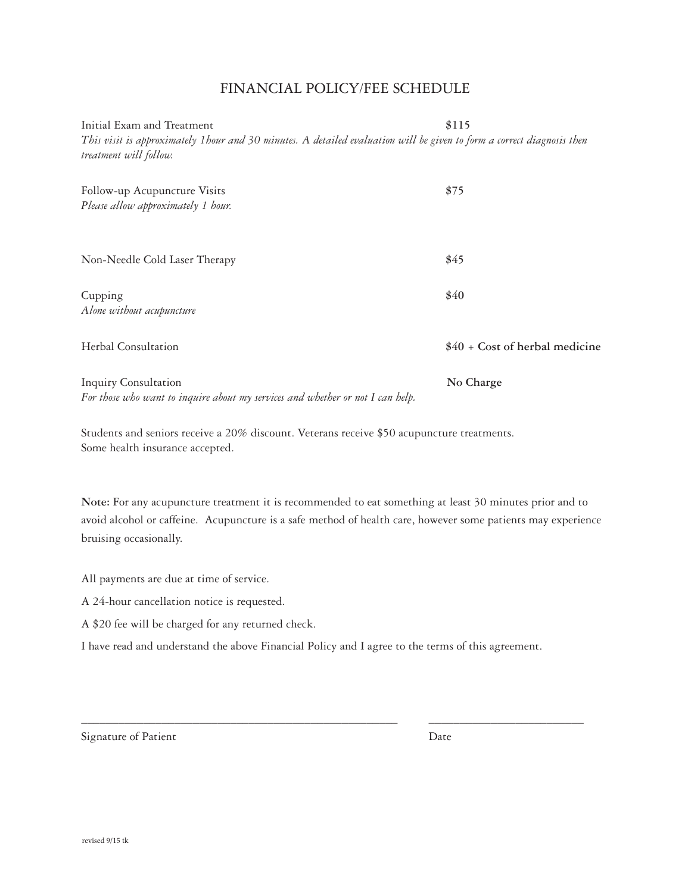## Financial Policy/Fee Schedule

Initial Exam and Treatment **\$115** *This visit is approximately 1hour and 30 minutes. A detailed evaluation will be given to form a correct diagnosis then treatment will follow.*

| Follow-up Acupuncture Visits<br>Please allow approximately 1 hour.                                            | \$75                           |
|---------------------------------------------------------------------------------------------------------------|--------------------------------|
| Non-Needle Cold Laser Therapy                                                                                 | \$45                           |
| Cupping<br>Alone without acupuncture                                                                          | \$40                           |
| Herbal Consultation                                                                                           | \$40 + Cost of herbal medicine |
| <b>Inquiry Consultation</b><br>For those who want to inquire about my services and whether or not I can help. | No Charge                      |

Students and seniors receive a 20% discount. Veterans receive \$50 acupuncture treatments. Some health insurance accepted.

**Note:** For any acupuncture treatment it is recommended to eat something at least 30 minutes prior and to avoid alcohol or caffeine. Acupuncture is a safe method of health care, however some patients may experience bruising occasionally.

All payments are due at time of service.

A 24-hour cancellation notice is requested.

A \$20 fee will be charged for any returned check.

I have read and understand the above Financial Policy and I agree to the terms of this agreement.

\_\_\_\_\_\_\_\_\_\_\_\_\_\_\_\_\_\_\_\_\_\_\_\_\_\_\_\_\_\_\_\_\_\_\_\_\_\_\_\_\_\_\_\_\_\_\_\_\_\_\_ \_\_\_\_\_\_\_\_\_\_\_\_\_\_\_\_\_\_\_\_\_\_\_\_\_

Signature of Patient Date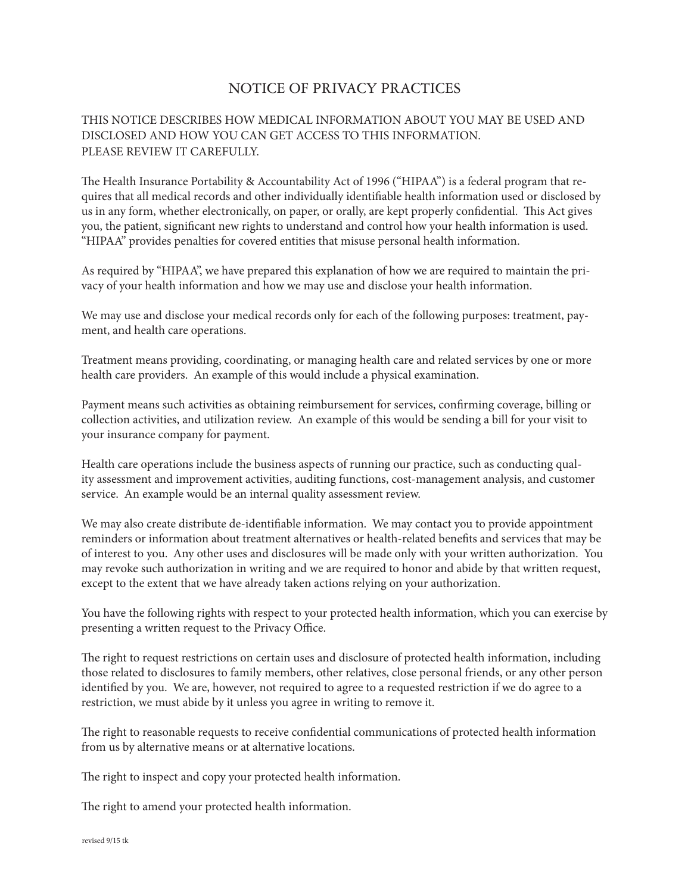# NOTICE OF PRIVACY PRACTICES

## THIS NOTICE DESCRIBES HOW MEDICAL INFORMATION ABOUT YOU MAY BE USED AND DISCLOSED AND HOW YOU CAN GET ACCESS TO THIS INFORMATION. PLEASE REVIEW IT CAREFULLY.

The Health Insurance Portability & Accountability Act of 1996 ("HIPAA") is a federal program that requires that all medical records and other individually identifiable health information used or disclosed by us in any form, whether electronically, on paper, or orally, are kept properly confidential. This Act gives you, the patient, significant new rights to understand and control how your health information is used. "HIPAA" provides penalties for covered entities that misuse personal health information.

As required by "HIPAA", we have prepared this explanation of how we are required to maintain the privacy of your health information and how we may use and disclose your health information.

We may use and disclose your medical records only for each of the following purposes: treatment, payment, and health care operations.

Treatment means providing, coordinating, or managing health care and related services by one or more health care providers. An example of this would include a physical examination.

Payment means such activities as obtaining reimbursement for services, confirming coverage, billing or collection activities, and utilization review. An example of this would be sending a bill for your visit to your insurance company for payment.

Health care operations include the business aspects of running our practice, such as conducting quality assessment and improvement activities, auditing functions, cost-management analysis, and customer service. An example would be an internal quality assessment review.

We may also create distribute de-identifiable information. We may contact you to provide appointment reminders or information about treatment alternatives or health-related benefits and services that may be of interest to you. Any other uses and disclosures will be made only with your written authorization. You may revoke such authorization in writing and we are required to honor and abide by that written request, except to the extent that we have already taken actions relying on your authorization.

You have the following rights with respect to your protected health information, which you can exercise by presenting a written request to the Privacy Office.

The right to request restrictions on certain uses and disclosure of protected health information, including those related to disclosures to family members, other relatives, close personal friends, or any other person identified by you. We are, however, not required to agree to a requested restriction if we do agree to a restriction, we must abide by it unless you agree in writing to remove it.

The right to reasonable requests to receive confidential communications of protected health information from us by alternative means or at alternative locations.

The right to inspect and copy your protected health information.

The right to amend your protected health information.